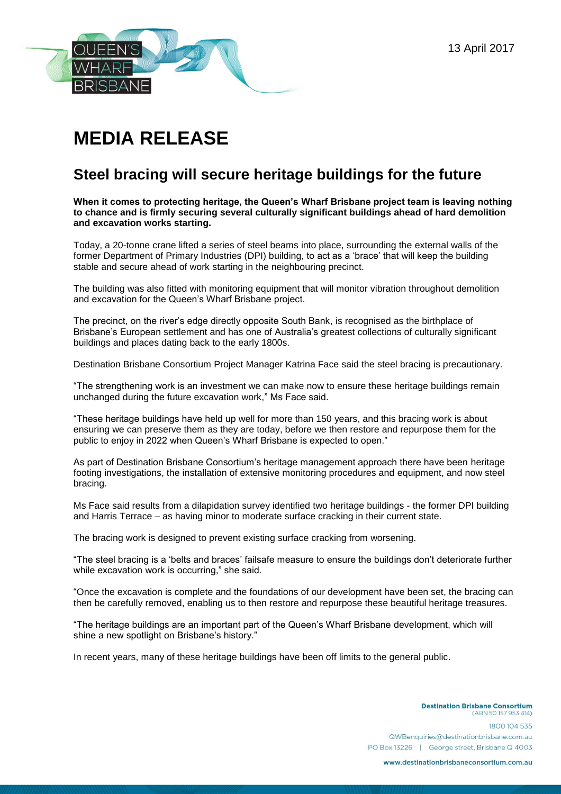13 April 2017



## **MEDIA RELEASE**

## **Steel bracing will secure heritage buildings for the future**

**When it comes to protecting heritage, the Queen's Wharf Brisbane project team is leaving nothing to chance and is firmly securing several culturally significant buildings ahead of hard demolition and excavation works starting.**

Today, a 20-tonne crane lifted a series of steel beams into place, surrounding the external walls of the former Department of Primary Industries (DPI) building, to act as a 'brace' that will keep the building stable and secure ahead of work starting in the neighbouring precinct.

The building was also fitted with monitoring equipment that will monitor vibration throughout demolition and excavation for the Queen's Wharf Brisbane project.

The precinct, on the river's edge directly opposite South Bank, is recognised as the birthplace of Brisbane's European settlement and has one of Australia's greatest collections of culturally significant buildings and places dating back to the early 1800s.

Destination Brisbane Consortium Project Manager Katrina Face said the steel bracing is precautionary.

"The strengthening work is an investment we can make now to ensure these heritage buildings remain unchanged during the future excavation work," Ms Face said.

"These heritage buildings have held up well for more than 150 years, and this bracing work is about ensuring we can preserve them as they are today, before we then restore and repurpose them for the public to enjoy in 2022 when Queen's Wharf Brisbane is expected to open."

As part of Destination Brisbane Consortium's heritage management approach there have been heritage footing investigations, the installation of extensive monitoring procedures and equipment, and now steel bracing.

Ms Face said results from a dilapidation survey identified two heritage buildings - the former DPI building and Harris Terrace – as having minor to moderate surface cracking in their current state.

The bracing work is designed to prevent existing surface cracking from worsening.

"The steel bracing is a 'belts and braces' failsafe measure to ensure the buildings don't deteriorate further while excavation work is occurring," she said.

"Once the excavation is complete and the foundations of our development have been set, the bracing can then be carefully removed, enabling us to then restore and repurpose these beautiful heritage treasures.

"The heritage buildings are an important part of the Queen's Wharf Brisbane development, which will shine a new spotlight on Brisbane's history."

In recent years, many of these heritage buildings have been off limits to the general public.

**Destination Brisbane Consortium** (ABN 50157953414) 1800104535 QWBenquiries@destinationbrisbane.com.au PO Box 13226 | George street, Brisbane Q 4003

www.destinationbrisbaneconsortium.com.au